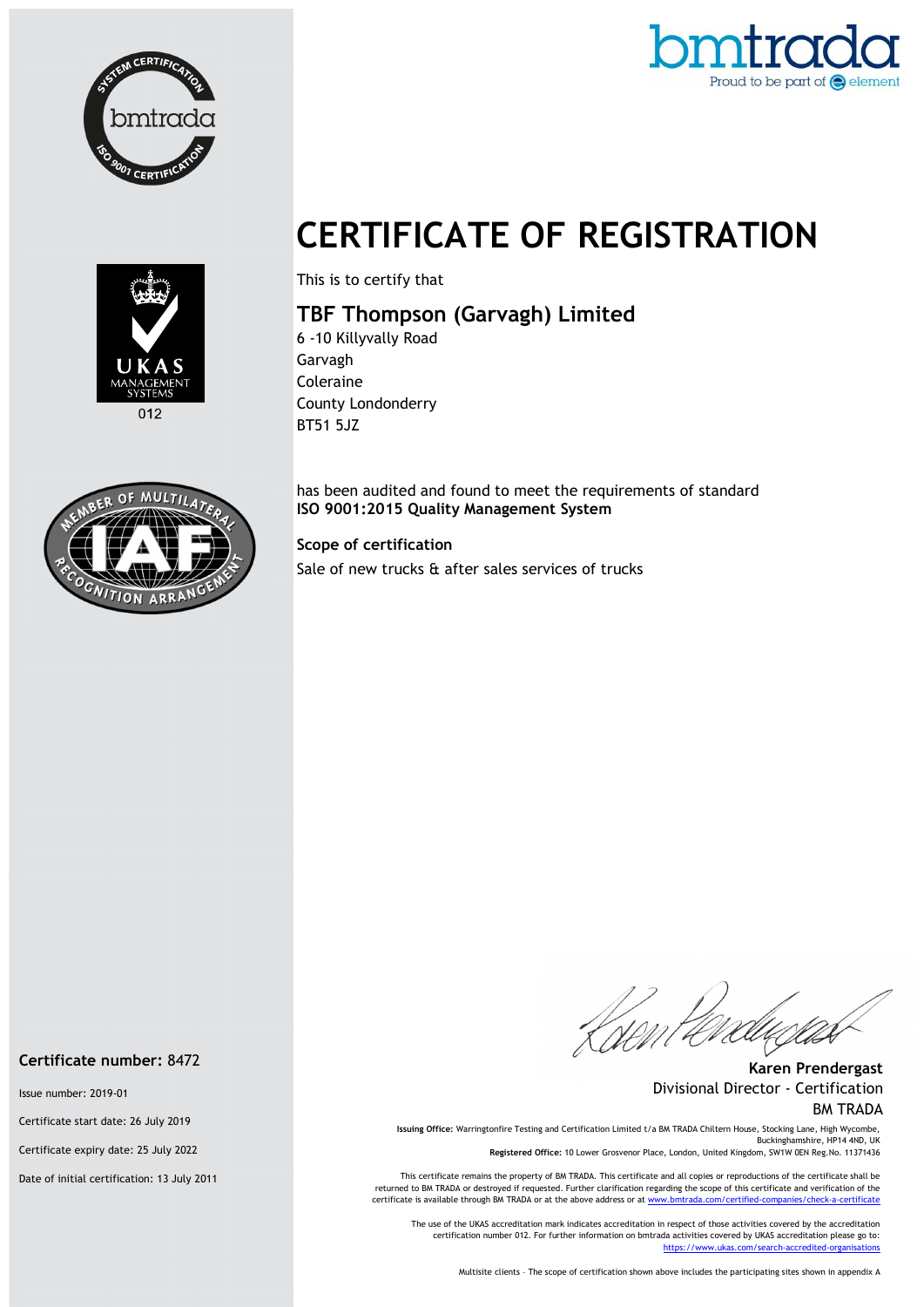



# CERTIFICATE OF REGISTRATION



This is to certify that

## TBF Thompson (Garvagh) Limited

6 -10 Killyvally Road Garvagh Coleraine County Londonderry BT51 5JZ

has been audited and found to meet the requirements of standard ISO 9001:2015 Quality Management System

#### Scope of certification

Sale of new trucks & after sales services of trucks

.<br>Vom

Karen Prendergast Divisional Director - Certification BM TRADA

Issuing Office: Warringtonfire Testing and Certification Limited t/a BM TRADA Chiltern House, Stocking Lane, High Wycombe, Buckinghamshire, HP14 4ND, UK

Registered Office: 10 Lower Grosvenor Place, London, United Kingdom, SW1W 0EN Reg.No. 11371436

This certificate remains the property of BM TRADA. This certificate and all copies or reproductions of the certificate shall be returned to BM TRADA or destroyed if requested. Further clarification regarding the scope of this certificate and verification of the certificate is available through BM TRADA or at the above address or at www.bmtrada.com/certified-companies/check-a-certificate

The use of the UKAS accreditation mark indicates accreditation in respect of those activities covered by the accreditation certification number 012. For further information on bmtrada activities covered by UKAS accreditation please go to: https://www.ukas.com/search-accredited-organisations

Multisite clients – The scope of certification shown above includes the participating sites shown in appendix A



#### Certificate number: 8472

Issue number: 2019-01

Certificate start date: 26 July 2019

Certificate expiry date: 25 July 2022

Date of initial certification: 13 July 2011